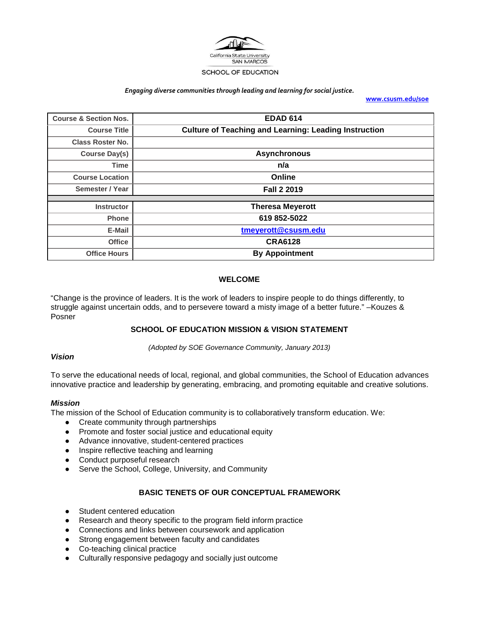

#### *Engaging diverse communities through leading and learning for social justice.*

**[www.csusm.edu/soe](http://www.csusm.edu/soe)**

| <b>Course &amp; Section Nos.</b> | <b>EDAD 614</b>                                              |
|----------------------------------|--------------------------------------------------------------|
| <b>Course Title</b>              | <b>Culture of Teaching and Learning: Leading Instruction</b> |
| <b>Class Roster No.</b>          |                                                              |
| <b>Course Day(s)</b>             | <b>Asynchronous</b>                                          |
| <b>Time</b>                      | n/a                                                          |
| <b>Course Location</b>           | Online                                                       |
| Semester / Year                  | <b>Fall 2 2019</b>                                           |
|                                  |                                                              |
| <b>Instructor</b>                | <b>Theresa Meyerott</b>                                      |
| <b>Phone</b>                     | 619 852-5022                                                 |
| E-Mail                           | tmeyerott@csusm.edu                                          |
| <b>Office</b>                    | <b>CRA6128</b>                                               |
| <b>Office Hours</b>              | <b>By Appointment</b>                                        |

## **WELCOME**

<span id="page-0-0"></span>"Change is the province of leaders. It is the work of leaders to inspire people to do things differently, to struggle against uncertain odds, and to persevere toward a misty image of a better future." –Kouzes & Posner

## <span id="page-0-1"></span>**SCHOOL OF EDUCATION MISSION & VISION STATEMENT**

*(Adopted by SOE Governance Community, January 2013)*

#### *Vision*

To serve the educational needs of local, regional, and global communities, the School of Education advances innovative practice and leadership by generating, embracing, and promoting equitable and creative solutions.

#### *Mission*

The mission of the School of Education community is to collaboratively transform education. We:

- Create community through partnerships
- Promote and foster social justice and educational equity
- Advance innovative, student-centered practices
- Inspire reflective teaching and learning
- Conduct purposeful research
- Serve the School, College, University, and Community

## **BASIC TENETS OF OUR CONCEPTUAL FRAMEWORK**

- <span id="page-0-2"></span>● Student centered education
- Research and theory specific to the program field inform practice
- Connections and links between coursework and application
- Strong engagement between faculty and candidates
- Co-teaching clinical practice
- Culturally responsive pedagogy and socially just outcome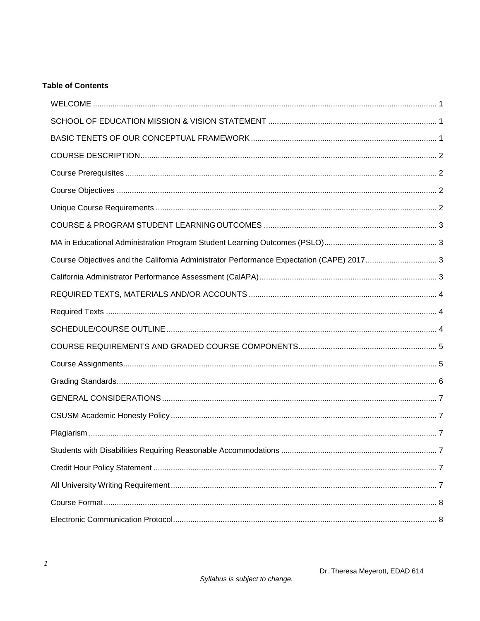# **Table of Contents**

| Course Objectives and the California Administrator Performance Expectation (CAPE) 2017 3 |  |
|------------------------------------------------------------------------------------------|--|
|                                                                                          |  |
|                                                                                          |  |
|                                                                                          |  |
|                                                                                          |  |
|                                                                                          |  |
|                                                                                          |  |
|                                                                                          |  |
|                                                                                          |  |
|                                                                                          |  |
|                                                                                          |  |
| 7                                                                                        |  |
|                                                                                          |  |
|                                                                                          |  |
|                                                                                          |  |
|                                                                                          |  |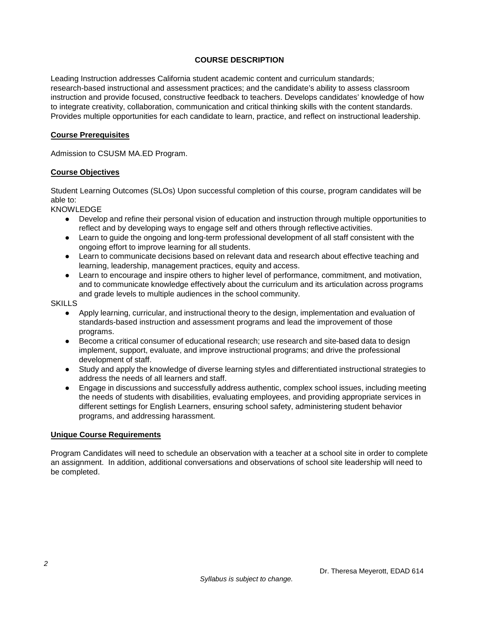## **COURSE DESCRIPTION**

<span id="page-2-0"></span>Leading Instruction addresses California student academic content and curriculum standards; research-based instructional and assessment practices; and the candidate's ability to assess classroom instruction and provide focused, constructive feedback to teachers. Develops candidates' knowledge of how to integrate creativity, collaboration, communication and critical thinking skills with the content standards. Provides multiple opportunities for each candidate to learn, practice, and reflect on instructional leadership.

## <span id="page-2-1"></span>**Course Prerequisites**

Admission to CSUSM MA.ED Program.

## <span id="page-2-2"></span>**Course Objectives**

Student Learning Outcomes (SLOs) Upon successful completion of this course, program candidates will be able to:

KNOWLEDGE

- Develop and refine their personal vision of education and instruction through multiple opportunities to reflect and by developing ways to engage self and others through reflective activities.
- Learn to guide the ongoing and long-term professional development of all staff consistent with the ongoing effort to improve learning for all students.
- Learn to communicate decisions based on relevant data and research about effective teaching and learning, leadership, management practices, equity and access.
- Learn to encourage and inspire others to higher level of performance, commitment, and motivation, and to communicate knowledge effectively about the curriculum and its articulation across programs and grade levels to multiple audiences in the school community.

**SKILLS** 

- Apply learning, curricular, and instructional theory to the design, implementation and evaluation of standards-based instruction and assessment programs and lead the improvement of those programs.
- Become a critical consumer of educational research; use research and site-based data to design implement, support, evaluate, and improve instructional programs; and drive the professional development of staff.
- Study and apply the knowledge of diverse learning styles and differentiated instructional strategies to address the needs of all learners and staff.
- Engage in discussions and successfully address authentic, complex school issues, including meeting the needs of students with disabilities, evaluating employees, and providing appropriate services in different settings for English Learners, ensuring school safety, administering student behavior programs, and addressing harassment.

## <span id="page-2-3"></span>**Unique Course Requirements**

Program Candidates will need to schedule an observation with a teacher at a school site in order to complete an assignment. In addition, additional conversations and observations of school site leadership will need to be completed.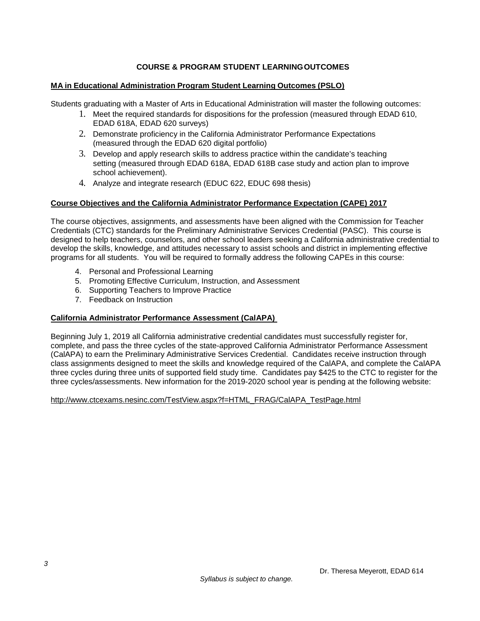## **COURSE & PROGRAM STUDENT LEARNINGOUTCOMES**

## <span id="page-3-1"></span><span id="page-3-0"></span>**MA in Educational Administration Program Student Learning Outcomes (PSLO)**

Students graduating with a Master of Arts in Educational Administration will master the following outcomes:

- 1. Meet the required standards for dispositions for the profession (measured through EDAD 610, EDAD 618A, EDAD 620 surveys)
- 2. Demonstrate proficiency in the California Administrator Performance Expectations (measured through the EDAD 620 digital portfolio)
- 3. Develop and apply research skills to address practice within the candidate's teaching setting (measured through EDAD 618A, EDAD 618B case study and action plan to improve school achievement).
- 4. Analyze and integrate research (EDUC 622, EDUC 698 thesis)

## <span id="page-3-2"></span>**Course Objectives and the California Administrator Performance Expectation (CAPE) 2017**

The course objectives, assignments, and assessments have been aligned with the Commission for Teacher Credentials (CTC) standards for the Preliminary Administrative Services Credential (PASC). This course is designed to help teachers, counselors, and other school leaders seeking a California administrative credential to develop the skills, knowledge, and attitudes necessary to assist schools and district in implementing effective programs for all students. You will be required to formally address the following CAPEs in this course:

- 4. Personal and Professional Learning
- 5. Promoting Effective Curriculum, Instruction, and Assessment
- 6. Supporting Teachers to Improve Practice
- 7. Feedback on Instruction

## <span id="page-3-3"></span>**California Administrator Performance Assessment (CalAPA)**

Beginning July 1, 2019 all California administrative credential candidates must successfully register for, complete, and pass the three cycles of the state-approved California Administrator Performance Assessment (CalAPA) to earn the Preliminary Administrative Services Credential. Candidates receive instruction through class assignments designed to meet the skills and knowledge required of the CalAPA, and complete the CalAPA three cycles during three units of supported field study time. Candidates pay \$425 to the CTC to register for the three cycles/assessments. New information for the 2019-2020 school year is pending at the following website:

[http://www.ctcexams.nesinc.com/TestView.aspx?f=HTML\\_FRAG/CalAPA\\_TestPage.html](http://www.ctcexams.nesinc.com/TestView.aspx?f=HTML_FRAG/CalAPA_TestPage.html)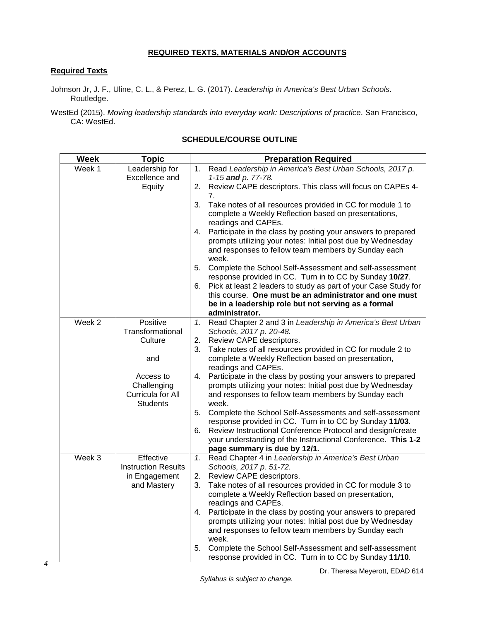## **REQUIRED TEXTS, MATERIALS AND/OR ACCOUNTS**

## <span id="page-4-1"></span><span id="page-4-0"></span>**Required Texts**

Johnson Jr, J. F., Uline, C. L., & Perez, L. G. (2017). *Leadership in America's Best Urban Schools*. Routledge.

WestEd (2015). *Moving leadership standards into everyday work: Descriptions of practice*. San Francisco, CA: WestEd.

#### <span id="page-4-2"></span>**Week Topic Topic Preparation Required**<br>
Week 1 Leadership for 1. Read Leadership in America's Best Urban Leadership for Excellence and **Equity** 1. Read *Leadership in America's Best Urban Schools, 2017 p. 1-15 and p. 77-78.* 2. Review CAPE descriptors. This class will focus on CAPEs 4- 7. 3. Take notes of all resources provided in CC for module 1 to complete a Weekly Reflection based on presentations, readings and CAPEs. 4. Participate in the class by posting your answers to prepared prompts utilizing your notes: Initial post due by Wednesday and responses to fellow team members by Sunday each week. 5. Complete the School Self-Assessment and self-assessment response provided in CC. Turn in to CC by Sunday **10/27**. 6. Pick at least 2 leaders to study as part of your Case Study for this course. **One must be an administrator and one must be in a leadership role but not serving as a formal administrator.** Week 2 | Positive **Transformational Culture** and Access to **Challenging** Curricula for All **Students** *1.* Read Chapter 2 and 3 in *Leadership in America's Best Urban Schools, 2017 p. 20-48.* 2. Review CAPE descriptors. 3. Take notes of all resources provided in CC for module 2 to complete a Weekly Reflection based on presentation, readings and CAPEs. 4. Participate in the class by posting your answers to prepared prompts utilizing your notes: Initial post due by Wednesday and responses to fellow team members by Sunday each week. 5. Complete the School Self-Assessments and self-assessment response provided in CC. Turn in to CC by Sunday **11/03**. 6. Review Instructional Conference Protocol and design/create your understanding of the Instructional Conference. **This 1-2 page summary is due by 12/1.** Week 3 | Effective Instruction Results in Engagement and Mastery *1.* Read Chapter 4 in *Leadership in America's Best Urban Schools, 2017 p. 51-72.* 2. Review CAPE descriptors. 3. Take notes of all resources provided in CC for module 3 to complete a Weekly Reflection based on presentation, readings and CAPEs. 4. Participate in the class by posting your answers to prepared prompts utilizing your notes: Initial post due by Wednesday and responses to fellow team members by Sunday each week. 5. Complete the School Self-Assessment and self-assessment response provided in CC. Turn in to CC by Sunday **11/10**.

## **SCHEDULE/COURSE OUTLINE**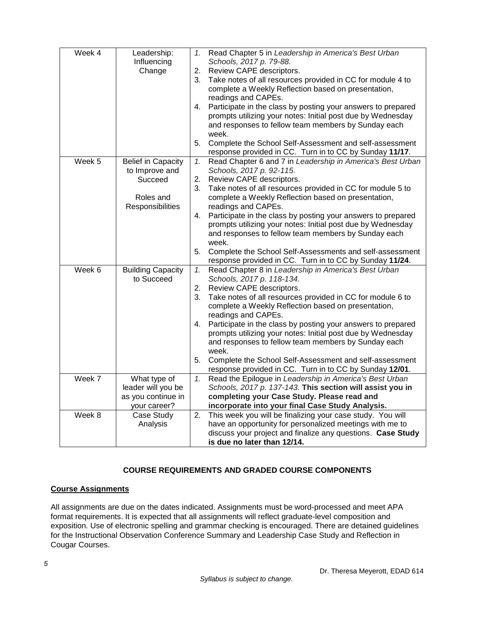| Week 4 | Leadership:               | 1. | Read Chapter 5 in Leadership in America's Best Urban         |
|--------|---------------------------|----|--------------------------------------------------------------|
|        | Influencing               |    | Schools, 2017 p. 79-88.                                      |
|        | Change                    | 2. | Review CAPE descriptors.                                     |
|        |                           | 3. | Take notes of all resources provided in CC for module 4 to   |
|        |                           |    | complete a Weekly Reflection based on presentation,          |
|        |                           |    | readings and CAPEs.                                          |
|        |                           | 4. | Participate in the class by posting your answers to prepared |
|        |                           |    | prompts utilizing your notes: Initial post due by Wednesday  |
|        |                           |    | and responses to fellow team members by Sunday each          |
|        |                           |    | week.                                                        |
|        |                           | 5. | Complete the School Self-Assessment and self-assessment      |
|        |                           |    | response provided in CC. Turn in to CC by Sunday 11/17.      |
| Week 5 | <b>Belief in Capacity</b> | 1. | Read Chapter 6 and 7 in Leadership in America's Best Urban   |
|        | to Improve and            |    | Schools, 2017 p. 92-115.                                     |
|        | Succeed                   | 2. | Review CAPE descriptors.                                     |
|        |                           | 3. | Take notes of all resources provided in CC for module 5 to   |
|        | Roles and                 |    | complete a Weekly Reflection based on presentation,          |
|        | Responsibilities          |    | readings and CAPEs.                                          |
|        |                           | 4. | Participate in the class by posting your answers to prepared |
|        |                           |    | prompts utilizing your notes: Initial post due by Wednesday  |
|        |                           |    | and responses to fellow team members by Sunday each          |
|        |                           |    | week.                                                        |
|        |                           | 5. | Complete the School Self-Assessments and self-assessment     |
|        |                           |    | response provided in CC. Turn in to CC by Sunday 11/24.      |
| Week 6 | <b>Building Capacity</b>  | 1. | Read Chapter 8 in Leadership in America's Best Urban         |
|        | to Succeed                |    | Schools, 2017 p. 118-134.                                    |
|        |                           | 2. | Review CAPE descriptors.                                     |
|        |                           | 3. | Take notes of all resources provided in CC for module 6 to   |
|        |                           |    | complete a Weekly Reflection based on presentation,          |
|        |                           |    | readings and CAPEs.                                          |
|        |                           | 4. | Participate in the class by posting your answers to prepared |
|        |                           |    | prompts utilizing your notes: Initial post due by Wednesday  |
|        |                           |    | and responses to fellow team members by Sunday each          |
|        |                           |    | week.                                                        |
|        |                           | 5. | Complete the School Self-Assessment and self-assessment      |
|        |                           |    | response provided in CC. Turn in to CC by Sunday 12/01.      |
| Week 7 | What type of              | 1. | Read the Epilogue in Leadership in America's Best Urban      |
|        | leader will you be        |    | Schools, 2017 p. 137-143. This section will assist you in    |
|        | as you continue in        |    | completing your Case Study. Please read and                  |
|        | your career?              |    | incorporate into your final Case Study Analysis.             |
| Week 8 | Case Study                | 2. | This week you will be finalizing your case study. You will   |
|        | Analysis                  |    | have an opportunity for personalized meetings with me to     |
|        |                           |    | discuss your project and finalize any questions. Case Study  |
|        |                           |    | is due no later than 12/14.                                  |

# **COURSE REQUIREMENTS AND GRADED COURSE COMPONENTS**

## <span id="page-5-1"></span><span id="page-5-0"></span>**Course Assignments**

All assignments are due on the dates indicated. Assignments must be word-processed and meet APA format requirements. It is expected that all assignments will reflect graduate-level composition and exposition. Use of electronic spelling and grammar checking is encouraged. There are detained guidelines for the Instructional Observation Conference Summary and Leadership Case Study and Reflection in Cougar Courses.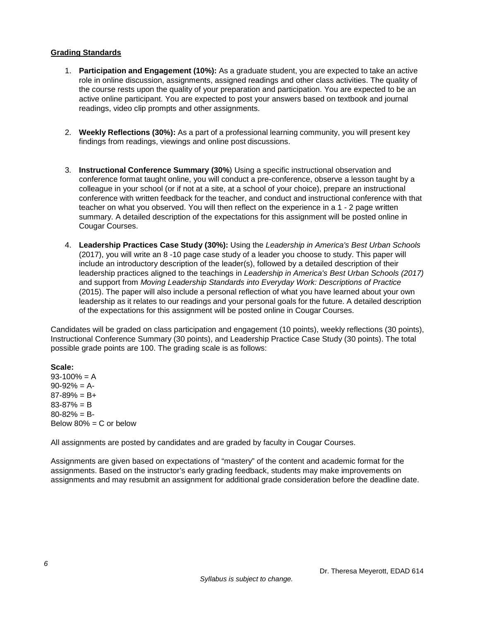## <span id="page-6-0"></span>**Grading Standards**

- 1. **Participation and Engagement (10%):** As a graduate student, you are expected to take an active role in online discussion, assignments, assigned readings and other class activities. The quality of the course rests upon the quality of your preparation and participation. You are expected to be an active online participant. You are expected to post your answers based on textbook and journal readings, video clip prompts and other assignments.
- 2. **Weekly Reflections (30%):** As a part of a professional learning community, you will present key findings from readings, viewings and online post discussions.
- 3. **Instructional Conference Summary (30%**) Using a specific instructional observation and conference format taught online, you will conduct a pre-conference, observe a lesson taught by a colleague in your school (or if not at a site, at a school of your choice), prepare an instructional conference with written feedback for the teacher, and conduct and instructional conference with that teacher on what you observed. You will then reflect on the experience in a 1 - 2 page written summary. A detailed description of the expectations for this assignment will be posted online in Cougar Courses.
- 4. **Leadership Practices Case Study (30%):** Using the *Leadership in America's Best Urban Schools* (2017), you will write an 8 -10 page case study of a leader you choose to study. This paper will include an introductory description of the leader(s), followed by a detailed description of their leadership practices aligned to the teachings in *Leadership in America's Best Urban Schools (2017)* and support from *Moving Leadership Standards into Everyday Work: Descriptions of Practice* (2015). The paper will also include a personal reflection of what you have learned about your own leadership as it relates to our readings and your personal goals for the future. A detailed description of the expectations for this assignment will be posted online in Cougar Courses.

Candidates will be graded on class participation and engagement (10 points), weekly reflections (30 points), Instructional Conference Summary (30 points), and Leadership Practice Case Study (30 points). The total possible grade points are 100. The grading scale is as follows:

**Scale:**  $93-100% = A$  $90-92% = A$  $87-89% = B+$ 83-87% = B  $80 - 82\% = B$ Below  $80\% = C$  or below

All assignments are posted by candidates and are graded by faculty in Cougar Courses.

Assignments are given based on expectations of "mastery" of the content and academic format for the assignments. Based on the instructor's early grading feedback, students may make improvements on assignments and may resubmit an assignment for additional grade consideration before the deadline date.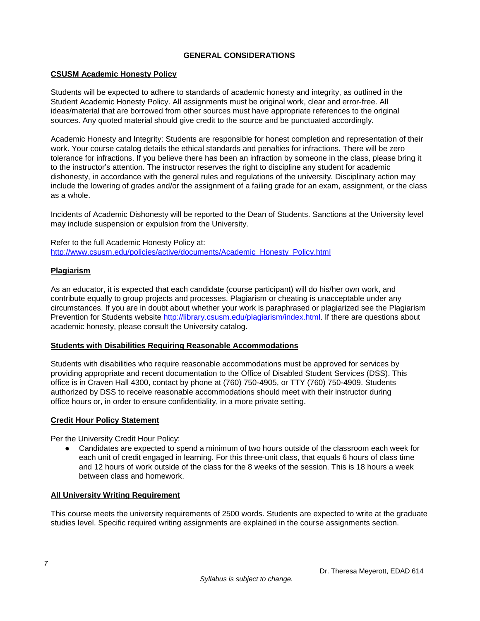## **GENERAL CONSIDERATIONS**

## <span id="page-7-1"></span><span id="page-7-0"></span>**CSUSM Academic Honesty Policy**

Students will be expected to adhere to standards of academic honesty and integrity, as outlined in the Student Academic Honesty Policy. All assignments must be original work, clear and error-free. All ideas/material that are borrowed from other sources must have appropriate references to the original sources. Any quoted material should give credit to the source and be punctuated accordingly.

Academic Honesty and Integrity: Students are responsible for honest completion and representation of their work. Your course catalog details the ethical standards and penalties for infractions. There will be zero tolerance for infractions. If you believe there has been an infraction by someone in the class, please bring it to the instructor's attention. The instructor reserves the right to discipline any student for academic dishonesty, in accordance with the general rules and regulations of the university. Disciplinary action may include the lowering of grades and/or the assignment of a failing grade for an exam, assignment, or the class as a whole.

Incidents of Academic Dishonesty will be reported to the Dean of Students. Sanctions at the University level may include suspension or expulsion from the University.

Refer to the full Academic Honesty Policy at: [http://www.csusm.edu/policies/active/documents/Academic\\_Honesty\\_Policy.html](http://www.csusm.edu/policies/active/documents/Academic_Honesty_Policy.html)

## <span id="page-7-2"></span>**Plagiarism**

As an educator, it is expected that each candidate (course participant) will do his/her own work, and contribute equally to group projects and processes. Plagiarism or cheating is unacceptable under any circumstances. If you are in doubt about whether your work is paraphrased or plagiarized see the Plagiarism Prevention for Students website [http://library.csusm.edu/plagiarism/index.html.](http://library.csusm.edu/plagiarism/index.html) If there are questions about academic honesty, please consult the University catalog.

## <span id="page-7-3"></span>**Students with Disabilities Requiring Reasonable Accommodations**

Students with disabilities who require reasonable accommodations must be approved for services by providing appropriate and recent documentation to the Office of Disabled Student Services (DSS). This office is in Craven Hall 4300, contact by phone at (760) 750-4905, or TTY (760) 750-4909. Students authorized by DSS to receive reasonable accommodations should meet with their instructor during office hours or, in order to ensure confidentiality, in a more private setting.

## <span id="page-7-4"></span>**Credit Hour Policy Statement**

Per the University Credit Hour Policy:

● Candidates are expected to spend a minimum of two hours outside of the classroom each week for each unit of credit engaged in learning. For this three-unit class, that equals 6 hours of class time and 12 hours of work outside of the class for the 8 weeks of the session. This is 18 hours a week between class and homework.

## <span id="page-7-5"></span>**All University Writing Requirement**

This course meets the university requirements of 2500 words. Students are expected to write at the graduate studies level. Specific required writing assignments are explained in the course assignments section.